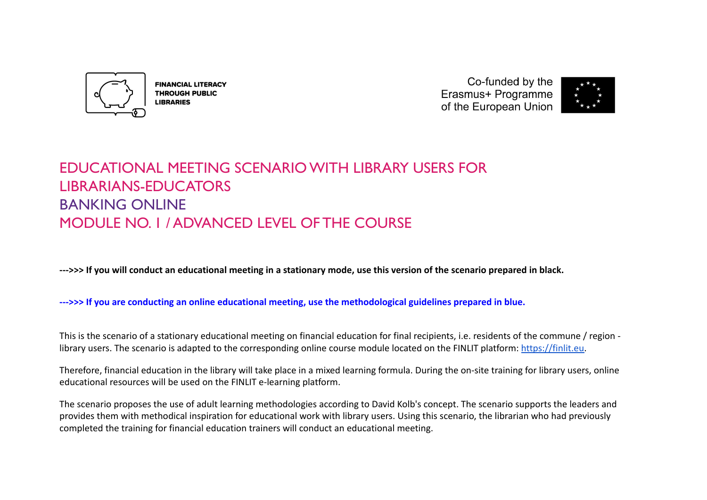

**FINANCIAL LITERACY THROUGH PUBLIC LIBRARIES** 

Co-funded by the Erasmus+ Programme of the European Union



# EDUCATIONAL MEETING SCENARIO WITH LIBRARY USERS FOR LIBRARIANS-EDUCATORS **BANKING ONLINE** MODULE NO. 1 / ADVANCED LEVEL OF THE COURSE

**--->>> If you will conduct an educational meeting in a stationary mode, use this version of the scenario prepared in black.**

**--->>> If you are conducting an online educational meeting, use the methodological guidelines prepared in blue.**

This is the scenario of a stationary educational meeting on financial education for final recipients, i.e. residents of the commune / region library users. The scenario is adapted to the corresponding online course module located on the FINLIT platform: [https://finlit.eu.](https://finlit.eu)

Therefore, financial education in the library will take place in a mixed learning formula. During the on-site training for library users, online educational resources will be used on the FINLIT e-learning platform.

The scenario proposes the use of adult learning methodologies according to David Kolb's concept. The scenario supports the leaders and provides them with methodical inspiration for educational work with library users. Using this scenario, the librarian who had previously completed the training for financial education trainers will conduct an educational meeting.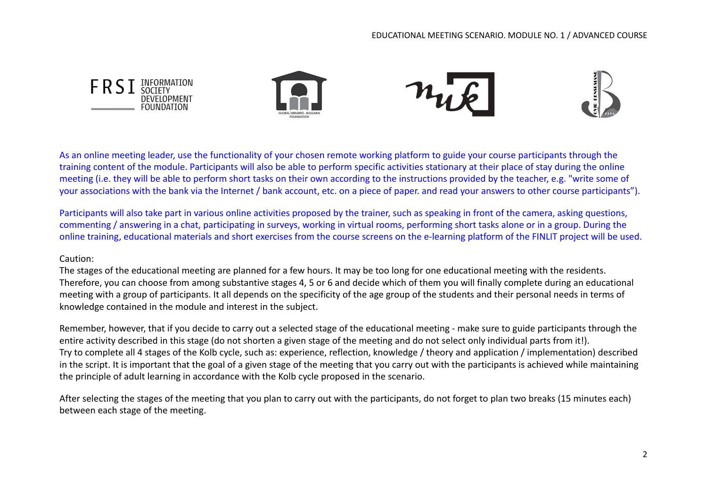

As an online meeting leader, use the functionality of your chosen remote working platform to guide your course participants through the training content of the module. Participants will also be able to perform specific activities stationary at their place of stay during the online meeting (i.e. they will be able to perform short tasks on their own according to the instructions provided by the teacher, e.g. "write some of your associations with the bank via the Internet / bank account, etc. on a piece of paper. and read your answers to other course participants").

Participants will also take part in various online activities proposed by the trainer, such as speaking in front of the camera, asking questions, commenting / answering in a chat, participating in surveys, working in virtual rooms, performing short tasks alone or in a group. During the online training, educational materials and short exercises from the course screens on the e-learning platform of the FINLIT project will be used.

#### Caution:

The stages of the educational meeting are planned for a few hours. It may be too long for one educational meeting with the residents. Therefore, you can choose from among substantive stages 4, 5 or 6 and decide which of them you will finally complete during an educational meeting with a group of participants. It all depends on the specificity of the age group of the students and their personal needs in terms of knowledge contained in the module and interest in the subject.

Remember, however, that if you decide to carry out a selected stage of the educational meeting - make sure to guide participants through the entire activity described in this stage (do not shorten a given stage of the meeting and do not select only individual parts from it!). Try to complete all 4 stages of the Kolb cycle, such as: experience, reflection, knowledge / theory and application / implementation) described in the script. It is important that the goal of a given stage of the meeting that you carry out with the participants is achieved while maintaining the principle of adult learning in accordance with the Kolb cycle proposed in the scenario.

After selecting the stages of the meeting that you plan to carry out with the participants, do not forget to plan two breaks (15 minutes each) between each stage of the meeting.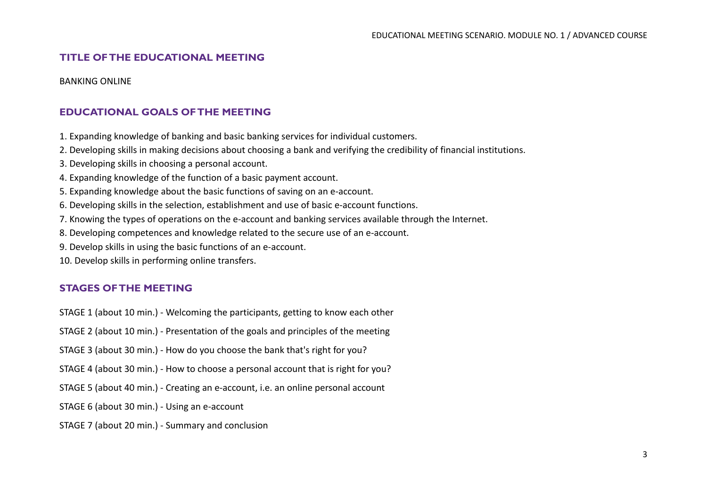## **TITLE OF THE EDUCATIONAL MEETING**

BANKING ONLINE

# **EDUCATIONAL GOALS OF THE MEETING**

1. Expanding knowledge of banking and basic banking services for individual customers.

- 2. Developing skills in making decisions about choosing a bank and verifying the credibility of financial institutions.
- 3. Developing skills in choosing a personal account.
- 4. Expanding knowledge of the function of a basic payment account.
- 5. Expanding knowledge about the basic functions of saving on an e-account.
- 6. Developing skills in the selection, establishment and use of basic e-account functions.
- 7. Knowing the types of operations on the e-account and banking services available through the Internet.
- 8. Developing competences and knowledge related to the secure use of an e-account.
- 9. Develop skills in using the basic functions of an e-account.
- 10. Develop skills in performing online transfers.

# **STAGES OF THE MEETING**

STAGE 1 (about 10 min.) - Welcoming the participants, getting to know each other

STAGE 2 (about 10 min.) - Presentation of the goals and principles of the meeting

STAGE 3 (about 30 min.) - How do you choose the bank that's right for you?

STAGE 4 (about 30 min.) - How to choose a personal account that is right for you?

STAGE 5 (about 40 min.) - Creating an e-account, i.e. an online personal account

STAGE 6 (about 30 min.) - Using an e-account

#### STAGE 7 (about 20 min.) - Summary and conclusion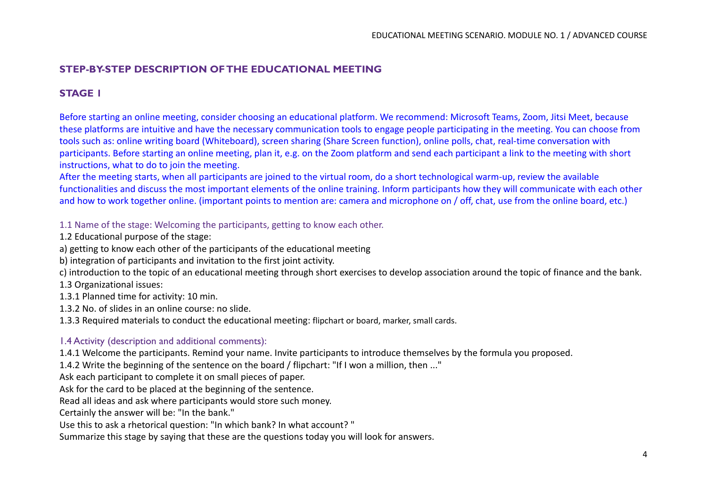# **STEP-BY-STEP DESCRIPTION OF THE EDUCATIONAL MEETING**

# **STAGE 1**

Before starting an online meeting, consider choosing an educational platform. We recommend: Microsoft Teams, Zoom, Jitsi Meet, because these platforms are intuitive and have the necessary communication tools to engage people participating in the meeting. You can choose from tools such as: online writing board (Whiteboard), screen sharing (Share Screen function), online polls, chat, real-time conversation with participants. Before starting an online meeting, plan it, e.g. on the Zoom platform and send each participant a link to the meeting with short instructions, what to do to join the meeting.

After the meeting starts, when all participants are joined to the virtual room, do a short technological warm-up, review the available functionalities and discuss the most important elements of the online training. Inform participants how they will communicate with each other and how to work together online. (important points to mention are: camera and microphone on / off, chat, use from the online board, etc.)

1.1 Name of the stage: Welcoming the participants, getting to know each other.

1.2 Educational purpose of the stage:

a) getting to know each other of the participants of the educational meeting

b) integration of participants and invitation to the first joint activity.

c) introduction to the topic of an educational meeting through short exercises to develop association around the topic of finance and the bank.

1.3 Organizational issues:

1.3.1 Planned time for activity: 10 min.

1.3.2 No. of slides in an online course: no slide.

1.3.3 Required materials to conduct the educational meeting: flipchart or board, marker, small cards.

## 1.4 Activity (description and additional comments):

1.4.1 Welcome the participants. Remind your name. Invite participants to introduce themselves by the formula you proposed.

1.4.2 Write the beginning of the sentence on the board / flipchart: "If I won a million, then ..."

Ask each participant to complete it on small pieces of paper.

Ask for the card to be placed at the beginning of the sentence.

Read all ideas and ask where participants would store such money.

Certainly the answer will be: "In the bank."

Use this to ask a rhetorical question: "In which bank? In what account? "

Summarize this stage by saying that these are the questions today you will look for answers.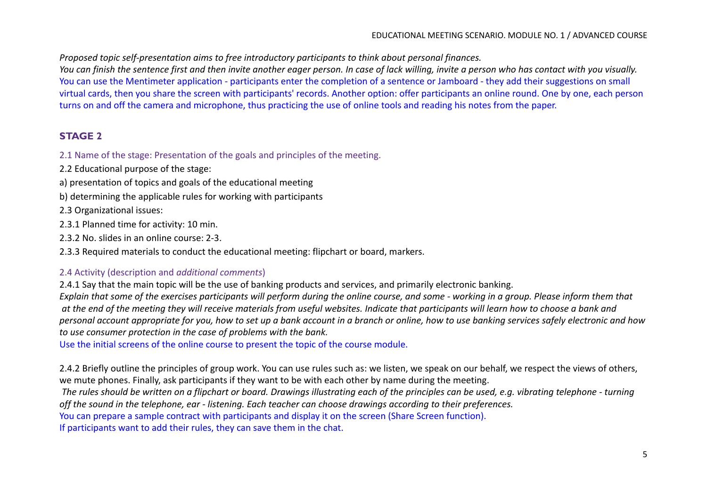*Proposed topic self-presentation aims to free introductory participants to think about personal finances.*

*You can finish the sentence first and then invite another eager person. In case of lack willing, invite a person who has contact with you visually.* You can use the Mentimeter application - participants enter the completion of a sentence or Jamboard - they add their suggestions on small virtual cards, then you share the screen with participants' records. Another option: offer participants an online round. One by one, each person turns on and off the camera and microphone, thus practicing the use of online tools and reading his notes from the paper.

# **STAGE 2**

2.1 Name of the stage: Presentation of the goals and principles of the meeting.

2.2 Educational purpose of the stage:

- a) presentation of topics and goals of the educational meeting
- b) determining the applicable rules for working with participants

2.3 Organizational issues:

- 2.3.1 Planned time for activity: 10 min.
- 2.3.2 No. slides in an online course: 2-3.
- 2.3.3 Required materials to conduct the educational meeting: flipchart or board, markers.

# 2.4 Activity (description and *additional comments*)

2.4.1 Say that the main topic will be the use of banking products and services, and primarily electronic banking. *Explain that some of the exercises participants will perform during the online course, and some - working in a group. Please inform them that at the end of the meeting they will receive materials from useful websites. Indicate that participants will learn how to choose a bank and personal account appropriate for you, how to set up a bank account in a branch or online, how to use banking services safely electronic and how to use consumer protection in the case of problems with the bank.*

Use the initial screens of the online course to present the topic of the course module.

2.4.2 Briefly outline the principles of group work. You can use rules such as: we listen, we speak on our behalf, we respect the views of others, we mute phones. Finally, ask participants if they want to be with each other by name during the meeting.

*The rules should be written on a flipchart or board. Drawings illustrating each of the principles can be used, e.g. vibrating telephone - turning off the sound in the telephone, ear - listening. Each teacher can choose drawings according to their preferences.*

You can prepare a sample contract with participants and display it on the screen (Share Screen function).

If participants want to add their rules, they can save them in the chat.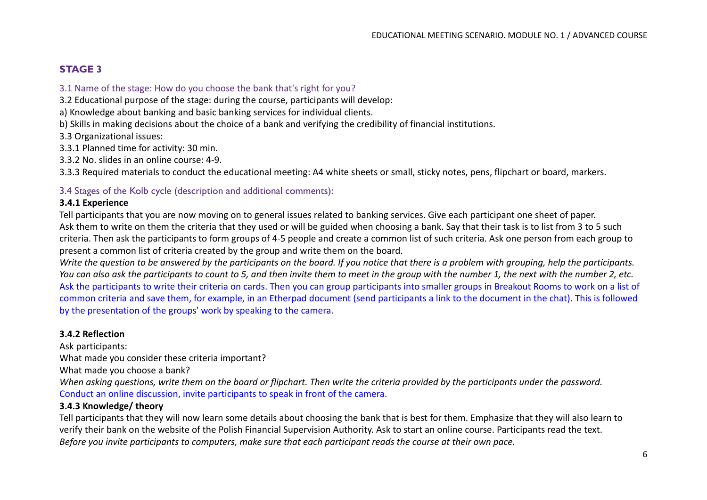# **STAGE 3**

#### 3.1 Name of the stage: How do you choose the bank that's right for you?

3.2 Educational purpose of the stage: during the course, participants will develop:

a) Knowledge about banking and basic banking services for individual clients.

b) Skills in making decisions about the choice of a bank and verifying the credibility of financial institutions.

3.3 Organizational issues:

3.3.1 Planned time for activity: 30 min.

3.3.2 No. slides in an online course: 4-9.

3.3.3 Required materials to conduct the educational meeting: A4 white sheets or small, sticky notes, pens, flipchart or board, markers.

## 3.4 Stages of the Kolb cycle (description and additional comments):

## **3.4.1 Experience**

Tell participants that you are now moving on to general issues related to banking services. Give each participant one sheet of paper. Ask them to write on them the criteria that they used or will be guided when choosing a bank. Say that their task is to list from 3 to 5 such criteria. Then ask the participants to form groups of 4-5 people and create a common list of such criteria. Ask one person from each group to present a common list of criteria created by the group and write them on the board.

*Write the question to be answered by the participants on the board. If you notice that there is a problem with grouping, help the participants. You can also ask the participants to count to 5, and then invite them to meet in the group with the number 1, the next with the number 2, etc.* Ask the participants to write their criteria on cards. Then you can group participants into smaller groups in Breakout Rooms to work on a list of common criteria and save them, for example, in an Etherpad document (send participants a link to the document in the chat). This is followed by the presentation of the groups' work by speaking to the camera.

#### **3.4.2 Reflection**

Ask participants: What made you consider these criteria important? What made you choose a bank? *When asking questions, write them on the board or flipchart. Then write the criteria provided by the participants under the password.* Conduct an online discussion, invite participants to speak in front of the camera.

#### **3.4.3 Knowledge/ theory**

Tell participants that they will now learn some details about choosing the bank that is best for them. Emphasize that they will also learn to verify their bank on the website of the Polish Financial Supervision Authority. Ask to start an online course. Participants read the text. *Before you invite participants to computers, make sure that each participant reads the course at their own pace.*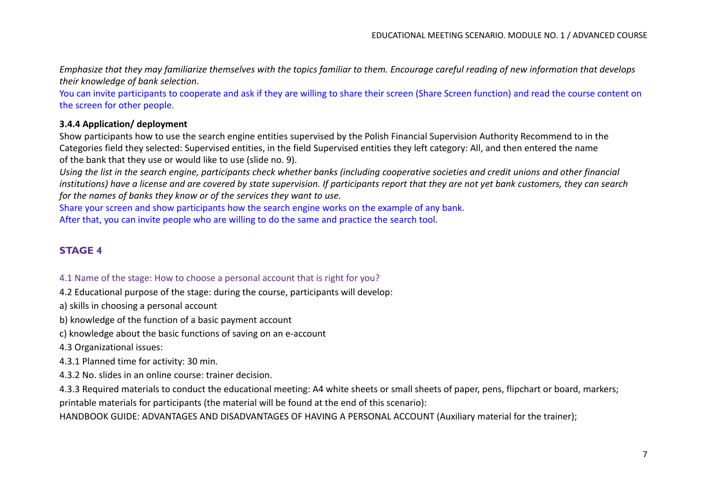*Emphasize that they may familiarize themselves with the topics familiar to them. Encourage careful reading of new information that develops their knowledge of bank selection*.

You can invite participants to cooperate and ask if they are willing to share their screen (Share Screen function) and read the course content on the screen for other people.

## **3.4.4 Application/ deployment**

Show participants how to use the search engine entities supervised by the Polish Financial Supervision Authority Recommend to in the Categories field they selected: Supervised entities, in the field Supervised entities they left category: All, and then entered the name of the bank that they use or would like to use (slide no. 9).

*Using the list in the search engine, participants check whether banks (including cooperative societies and credit unions and other financial institutions) have a license and are covered by state supervision. If participants report that they are not yet bank customers, they can search for the names of banks they know or of the services they want to use.*

Share your screen and show participants how the search engine works on the example of any bank. After that, you can invite people who are willing to do the same and practice the search tool.

# **STAGE 4**

#### 4.1 Name of the stage: How to choose a personal account that is right for you?

4.2 Educational purpose of the stage: during the course, participants will develop:

a) skills in choosing a personal account

b) knowledge of the function of a basic payment account

c) knowledge about the basic functions of saving on an e-account

4.3 Organizational issues:

4.3.1 Planned time for activity: 30 min.

4.3.2 No. slides in an online course: trainer decision.

4.3.3 Required materials to conduct the educational meeting: A4 white sheets or small sheets of paper, pens, flipchart or board, markers; printable materials for participants (the material will be found at the end of this scenario):

HANDBOOK GUIDE: ADVANTAGES AND DISADVANTAGES OF HAVING A PERSONAL ACCOUNT (Auxiliary material for the trainer);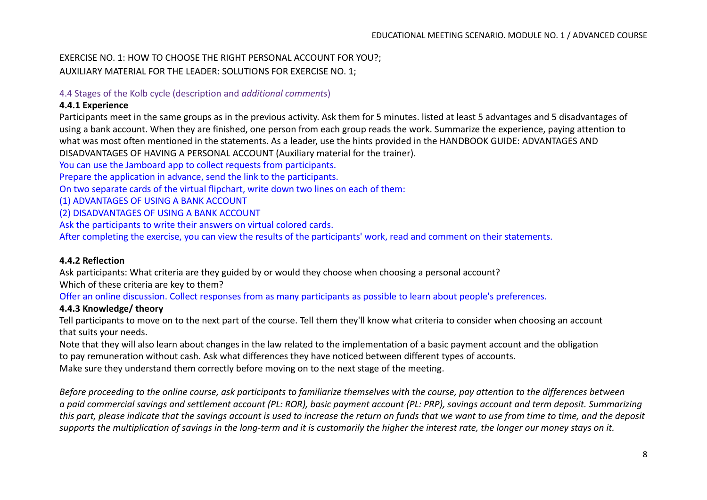## EXERCISE NO. 1: HOW TO CHOOSE THE RIGHT PERSONAL ACCOUNT FOR YOU?; AUXILIARY MATERIAL FOR THE LEADER: SOLUTIONS FOR EXERCISE NO. 1;

## 4.4 Stages of the Kolb cycle (description and *additional comments*)

## **4.4.1 Experience**

Participants meet in the same groups as in the previous activity. Ask them for 5 minutes. listed at least 5 advantages and 5 disadvantages of using a bank account. When they are finished, one person from each group reads the work. Summarize the experience, paying attention to what was most often mentioned in the statements. As a leader, use the hints provided in the HANDBOOK GUIDE: ADVANTAGES AND DISADVANTAGES OF HAVING A PERSONAL ACCOUNT (Auxiliary material for the trainer).

You can use the Jamboard app to collect requests from participants.

Prepare the application in advance, send the link to the participants.

On two separate cards of the virtual flipchart, write down two lines on each of them:

(1) ADVANTAGES OF USING A BANK ACCOUNT

(2) DISADVANTAGES OF USING A BANK ACCOUNT

Ask the participants to write their answers on virtual colored cards.

After completing the exercise, you can view the results of the participants' work, read and comment on their statements.

## **4.4.2 Reflection**

Ask participants: What criteria are they guided by or would they choose when choosing a personal account? Which of these criteria are key to them?

Offer an online discussion. Collect responses from as many participants as possible to learn about people's preferences.

# **4.4.3 Knowledge/ theory**

Tell participants to move on to the next part of the course. Tell them they'll know what criteria to consider when choosing an account that suits your needs.

Note that they will also learn about changes in the law related to the implementation of a basic payment account and the obligation to pay remuneration without cash. Ask what differences they have noticed between different types of accounts.

Make sure they understand them correctly before moving on to the next stage of the meeting.

*Before proceeding to the online course, ask participants to familiarize themselves with the course, pay attention to the differences between a paid commercial savings and settlement account (PL: ROR), basic payment account (PL: PRP), savings account and term deposit. Summarizing this part, please indicate that the savings account is used to increase the return on funds that we want to use from time to time, and the deposit supports the multiplication of savings in the long-term and it is customarily the higher the interest rate, the longer our money stays on it.*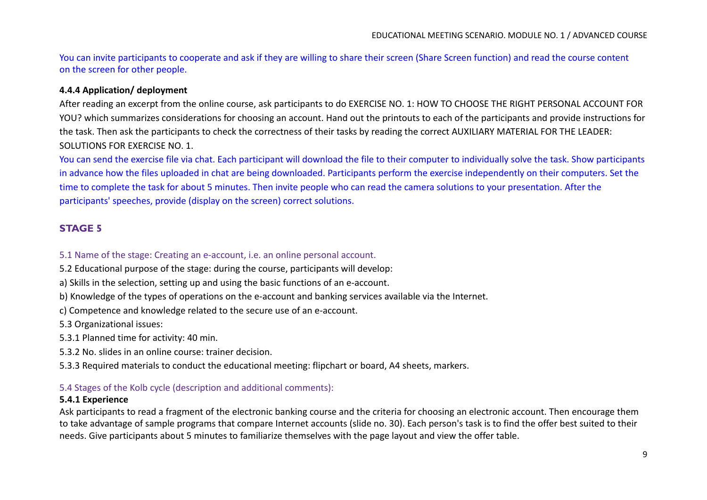You can invite participants to cooperate and ask if they are willing to share their screen (Share Screen function) and read the course content on the screen for other people.

## **4.4.4 Application/ deployment**

After reading an excerpt from the online course, ask participants to do EXERCISE NO. 1: HOW TO CHOOSE THE RIGHT PERSONAL ACCOUNT FOR YOU? which summarizes considerations for choosing an account. Hand out the printouts to each of the participants and provide instructions for the task. Then ask the participants to check the correctness of their tasks by reading the correct AUXILIARY MATERIAL FOR THE LEADER: SOLUTIONS FOR EXERCISE NO. 1.

You can send the exercise file via chat. Each participant will download the file to their computer to individually solve the task. Show participants in advance how the files uploaded in chat are being downloaded. Participants perform the exercise independently on their computers. Set the time to complete the task for about 5 minutes. Then invite people who can read the camera solutions to your presentation. After the participants' speeches, provide (display on the screen) correct solutions.

# **STAGE 5**

#### 5.1 Name of the stage: Creating an e-account, i.e. an online personal account.

- 5.2 Educational purpose of the stage: during the course, participants will develop:
- a) Skills in the selection, setting up and using the basic functions of an e-account.
- b) Knowledge of the types of operations on the e-account and banking services available via the Internet.
- c) Competence and knowledge related to the secure use of an e-account.

5.3 Organizational issues:

- 5.3.1 Planned time for activity: 40 min.
- 5.3.2 No. slides in an online course: trainer decision.
- 5.3.3 Required materials to conduct the educational meeting: flipchart or board, A4 sheets, markers.

#### 5.4 Stages of the Kolb cycle (description and additional comments):

#### **5.4.1 Experience**

Ask participants to read a fragment of the electronic banking course and the criteria for choosing an electronic account. Then encourage them to take advantage of sample programs that compare Internet accounts (slide no. 30). Each person's task is to find the offer best suited to their needs. Give participants about 5 minutes to familiarize themselves with the page layout and view the offer table.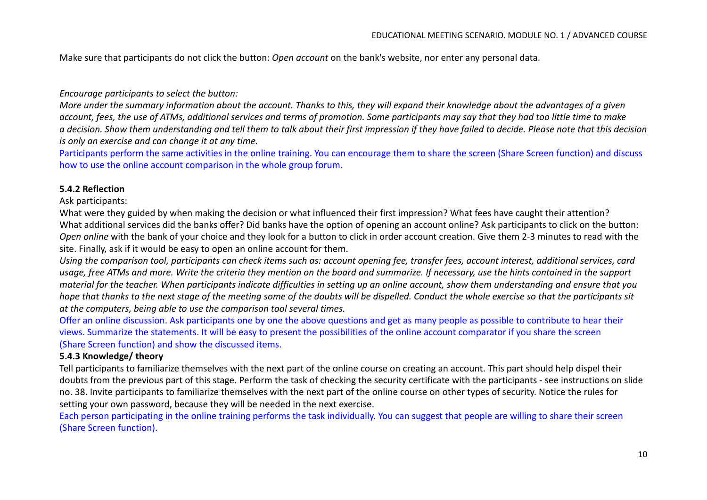Make sure that participants do not click the button: *Open account* on the bank's website, nor enter any personal data.

#### *Encourage participants to select the button:*

*More under the summary information about the account. Thanks to this, they will expand their knowledge about the advantages of a given account, fees, the use of ATMs, additional services and terms of promotion. Some participants may say that they had too little time to make a decision. Show them understanding and tell them to talk about their first impression if they have failed to decide. Please note that this decision is only an exercise and can change it at any time.*

Participants perform the same activities in the online training. You can encourage them to share the screen (Share Screen function) and discuss how to use the online account comparison in the whole group forum.

#### **5.4.2 Reflection**

#### Ask participants:

What were they guided by when making the decision or what influenced their first impression? What fees have caught their attention? What additional services did the banks offer? Did banks have the option of opening an account online? Ask participants to click on the button: *Open online* with the bank of your choice and they look for a button to click in order account creation. Give them 2-3 minutes to read with the site. Finally, ask if it would be easy to open an online account for them.

*Using the comparison tool, participants can check items such as: account opening fee, transfer fees, account interest, additional services, card usage, free ATMs and more. Write the criteria they mention on the board and summarize. If necessary, use the hints contained in the support material for the teacher. When participants indicate difficulties in setting up an online account, show them understanding and ensure that you hope that thanks to the next stage of the meeting some of the doubts will be dispelled. Conduct the whole exercise so that the participants sit at the computers, being able to use the comparison tool several times.*

Offer an online discussion. Ask participants one by one the above questions and get as many people as possible to contribute to hear their views. Summarize the statements. It will be easy to present the possibilities of the online account comparator if you share the screen (Share Screen function) and show the discussed items.

#### **5.4.3 Knowledge/ theory**

Tell participants to familiarize themselves with the next part of the online course on creating an account. This part should help dispel their doubts from the previous part of this stage. Perform the task of checking the security certificate with the participants - see instructions on slide no. 38. Invite participants to familiarize themselves with the next part of the online course on other types of security. Notice the rules for setting your own password, because they will be needed in the next exercise.

Each person participating in the online training performs the task individually. You can suggest that people are willing to share their screen (Share Screen function).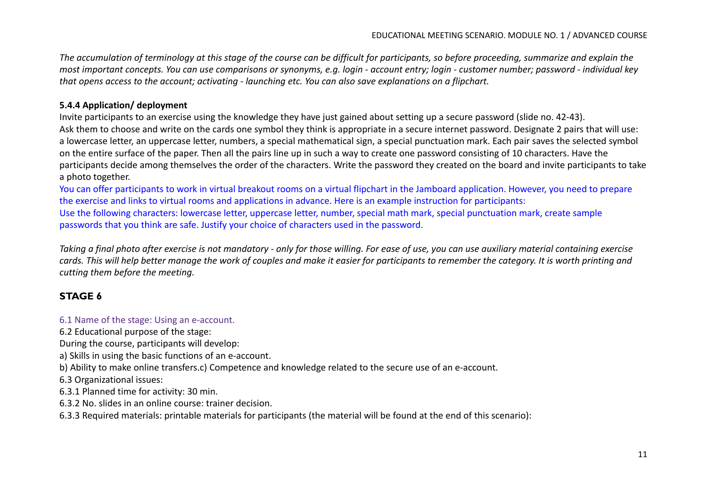*The accumulation of terminology at this stage of the course can be difficult for participants, so before proceeding, summarize and explain the most important concepts. You can use comparisons or synonyms, e.g. login - account entry; login - customer number; password - individual key that opens access to the account; activating - launching etc. You can also save explanations on a flipchart.*

## **5.4.4 Application/ deployment**

Invite participants to an exercise using the knowledge they have just gained about setting up a secure password (slide no. 42-43). Ask them to choose and write on the cards one symbol they think is appropriate in a secure internet password. Designate 2 pairs that will use: a lowercase letter, an uppercase letter, numbers, a special mathematical sign, a special punctuation mark. Each pair saves the selected symbol on the entire surface of the paper. Then all the pairs line up in such a way to create one password consisting of 10 characters. Have the participants decide among themselves the order of the characters. Write the password they created on the board and invite participants to take a photo together.

You can offer participants to work in virtual breakout rooms on a virtual flipchart in the Jamboard application. However, you need to prepare the exercise and links to virtual rooms and applications in advance. Here is an example instruction for participants: Use the following characters: lowercase letter, uppercase letter, number, special math mark, special punctuation mark, create sample passwords that you think are safe. Justify your choice of characters used in the password.

*Taking a final photo after exercise is not mandatory - only for those willing. For ease of use, you can use auxiliary material containing exercise cards. This will help better manage the work of couples and make it easier for participants to remember the category. It is worth printing and cutting them before the meeting.*

# **STAGE 6**

## 6.1 Name of the stage: Using an e-account.

6.2 Educational purpose of the stage:

During the course, participants will develop:

a) Skills in using the basic functions of an e-account.

b) Ability to make online transfers.c) Competence and knowledge related to the secure use of an e-account.

6.3 Organizational issues:

6.3.1 Planned time for activity: 30 min.

6.3.2 No. slides in an online course: trainer decision.

6.3.3 Required materials: printable materials for participants (the material will be found at the end of this scenario):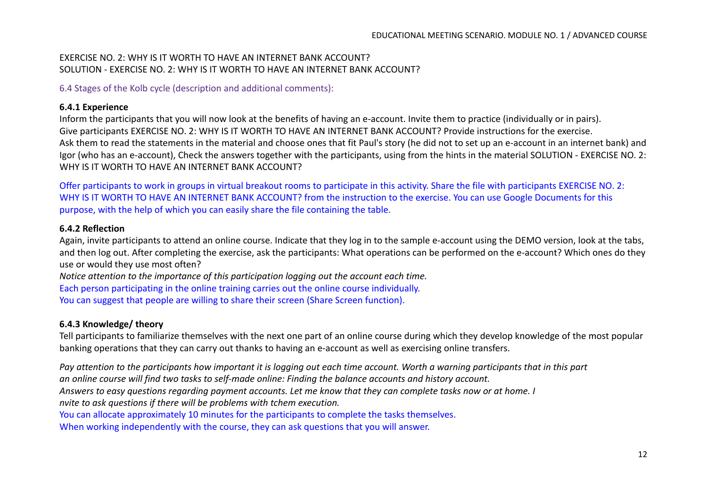## EXERCISE NO. 2: WHY IS IT WORTH TO HAVE AN INTERNET BANK ACCOUNT? SOLUTION - EXERCISE NO. 2: WHY IS IT WORTH TO HAVE AN INTERNET BANK ACCOUNT?

6.4 Stages of the Kolb cycle (description and additional comments):

## **6.4.1 Experience**

Inform the participants that you will now look at the benefits of having an e-account. Invite them to practice (individually or in pairs). Give participants EXERCISE NO. 2: WHY IS IT WORTH TO HAVE AN INTERNET BANK ACCOUNT? Provide instructions for the exercise. Ask them to read the statements in the material and choose ones that fit Paul's story (he did not to set up an e-account in an internet bank) and Igor (who has an e-account), Check the answers together with the participants, using from the hints in the material SOLUTION - EXERCISE NO. 2: WHY IS IT WORTH TO HAVE AN INTERNET BANK ACCOUNT?

Offer participants to work in groups in virtual breakout rooms to participate in this activity. Share the file with participants EXERCISE NO. 2: WHY IS IT WORTH TO HAVE AN INTERNET BANK ACCOUNT? from the instruction to the exercise. You can use Google Documents for this purpose, with the help of which you can easily share the file containing the table.

#### **6.4.2 Reflection**

Again, invite participants to attend an online course. Indicate that they log in to the sample e-account using the DEMO version, look at the tabs, and then log out. After completing the exercise, ask the participants: What operations can be performed on the e-account? Which ones do they use or would they use most often?

*Notice attention to the importance of this participation logging out the account each time.*

Each person participating in the online training carries out the online course individually. You can suggest that people are willing to share their screen (Share Screen function).

## **6.4.3 Knowledge/ theory**

Tell participants to familiarize themselves with the next one part of an online course during which they develop knowledge of the most popular banking operations that they can carry out thanks to having an e-account as well as exercising online transfers.

*Pay attention to the participants how important it is logging out each time account. Worth a warning participants that in this part an online course will find two tasks to self-made online: Finding the balance accounts and history account. Answers to easy questions regarding payment accounts. Let me know that they can complete tasks now or at home. I nvite to ask questions if there will be problems with tchem execution.* You can allocate approximately 10 minutes for the participants to complete the tasks themselves. When working independently with the course, they can ask questions that you will answer.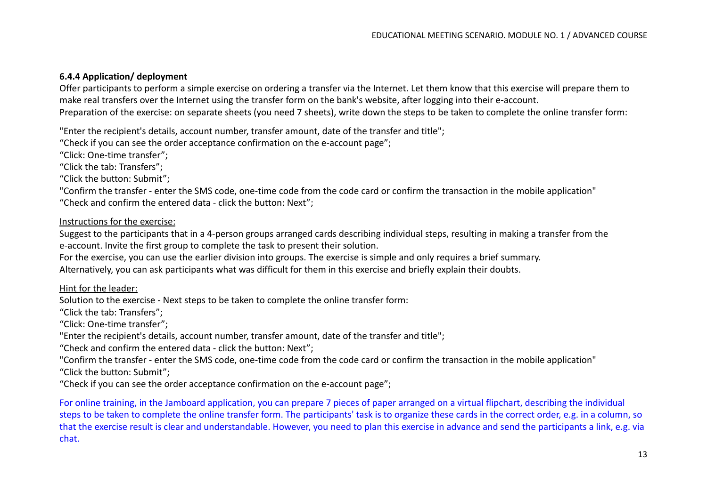## **6.4.4 Application/ deployment**

Offer participants to perform a simple exercise on ordering a transfer via the Internet. Let them know that this exercise will prepare them to make real transfers over the Internet using the transfer form on the bank's website, after logging into their e-account. Preparation of the exercise: on separate sheets (you need 7 sheets), write down the steps to be taken to complete the online transfer form:

"Enter the recipient's details, account number, transfer amount, date of the transfer and title";

"Check if you can see the order acceptance confirmation on the e-account page";

"Click: One-time transfer";

"Click the tab: Transfers";

"Click the button: Submit";

"Confirm the transfer - enter the SMS code, one-time code from the code card or confirm the transaction in the mobile application" "Check and confirm the entered data - click the button: Next";

#### Instructions for the exercise:

Suggest to the participants that in a 4-person groups arranged cards describing individual steps, resulting in making a transfer from the e-account. Invite the first group to complete the task to present their solution.

For the exercise, you can use the earlier division into groups. The exercise is simple and only requires a brief summary.

Alternatively, you can ask participants what was difficult for them in this exercise and briefly explain their doubts.

Hint for the leader:

Solution to the exercise - Next steps to be taken to complete the online transfer form:

"Click the tab: Transfers";

"Click: One-time transfer";

"Enter the recipient's details, account number, transfer amount, date of the transfer and title";

"Check and confirm the entered data - click the button: Next";

"Confirm the transfer - enter the SMS code, one-time code from the code card or confirm the transaction in the mobile application"

"Click the button: Submit";

"Check if you can see the order acceptance confirmation on the e-account page";

For online training, in the Jamboard application, you can prepare 7 pieces of paper arranged on a virtual flipchart, describing the individual steps to be taken to complete the online transfer form. The participants' task is to organize these cards in the correct order, e.g. in a column, so that the exercise result is clear and understandable. However, you need to plan this exercise in advance and send the participants a link, e.g. via chat.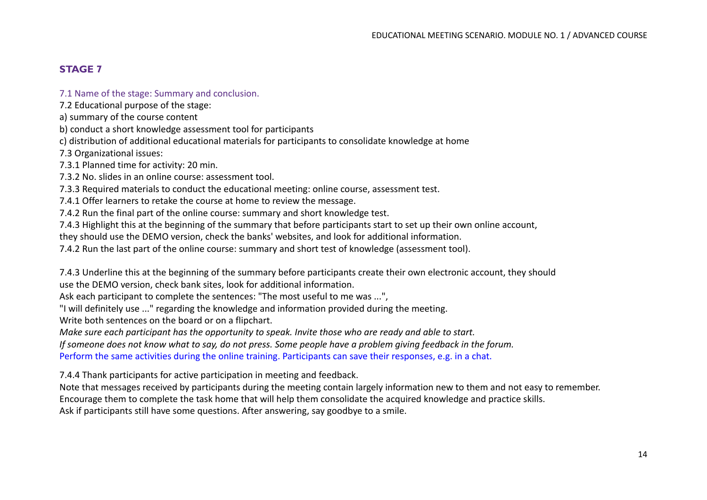# **STAGE 7**

#### 7.1 Name of the stage: Summary and conclusion.

7.2 Educational purpose of the stage:

a) summary of the course content

b) conduct a short knowledge assessment tool for participants

c) distribution of additional educational materials for participants to consolidate knowledge at home

7.3 Organizational issues:

7.3.1 Planned time for activity: 20 min.

7.3.2 No. slides in an online course: assessment tool.

7.3.3 Required materials to conduct the educational meeting: online course, assessment test.

7.4.1 Offer learners to retake the course at home to review the message.

7.4.2 Run the final part of the online course: summary and short knowledge test.

7.4.3 Highlight this at the beginning of the summary that before participants start to set up their own online account,

they should use the DEMO version, check the banks' websites, and look for additional information.

7.4.2 Run the last part of the online course: summary and short test of knowledge (assessment tool).

7.4.3 Underline this at the beginning of the summary before participants create their own electronic account, they should use the DEMO version, check bank sites, look for additional information.

Ask each participant to complete the sentences: "The most useful to me was ...",

"I will definitely use ..." regarding the knowledge and information provided during the meeting.

Write both sentences on the board or on a flipchart.

*Make sure each participant has the opportunity to speak. Invite those who are ready and able to start.*

*If someone does not know what to say, do not press. Some people have a problem giving feedback in the forum.*

Perform the same activities during the online training. Participants can save their responses, e.g. in a chat.

7.4.4 Thank participants for active participation in meeting and feedback.

Note that messages received by participants during the meeting contain largely information new to them and not easy to remember. Encourage them to complete the task home that will help them consolidate the acquired knowledge and practice skills. Ask if participants still have some questions. After answering, say goodbye to a smile.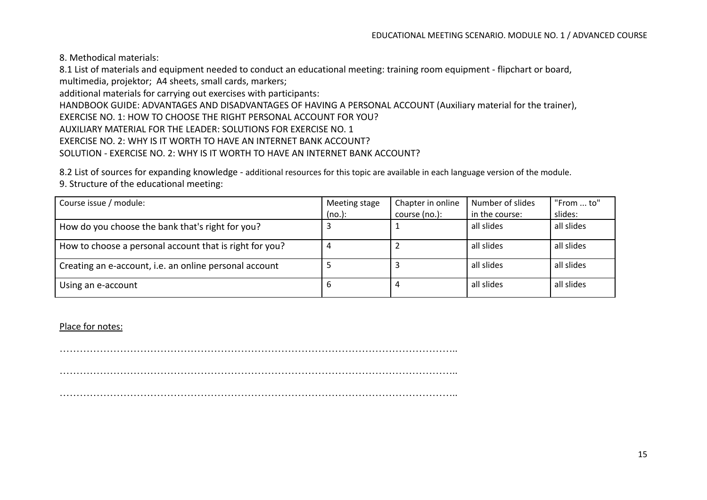8. Methodical materials:

8.1 List of materials and equipment needed to conduct an educational meeting: training room equipment - flipchart or board, multimedia, projektor; A4 sheets, small cards, markers;

additional materials for carrying out exercises with participants:

HANDBOOK GUIDE: ADVANTAGES AND DISADVANTAGES OF HAVING A PERSONAL ACCOUNT (Auxiliary material for the trainer),

EXERCISE NO. 1: HOW TO CHOOSE THE RIGHT PERSONAL ACCOUNT FOR YOU?

AUXILIARY MATERIAL FOR THE LEADER: SOLUTIONS FOR EXERCISE NO. 1

EXERCISE NO. 2: WHY IS IT WORTH TO HAVE AN INTERNET BANK ACCOUNT?

#### SOLUTION - EXERCISE NO. 2: WHY IS IT WORTH TO HAVE AN INTERNET BANK ACCOUNT?

8.2 List of sources for expanding knowledge - additional resources for this topic are available in each language version of the module. 9. Structure of the educational meeting:

| Course issue / module:                                  | Meeting stage | Chapter in online | Number of slides | "From  to" |
|---------------------------------------------------------|---------------|-------------------|------------------|------------|
|                                                         | (no.):        | course (no.):     | in the course:   | slides:    |
| How do you choose the bank that's right for you?        |               |                   | all slides       | all slides |
| How to choose a personal account that is right for you? |               |                   | all slides       | all slides |
| Creating an e-account, i.e. an online personal account  |               |                   | all slides       | all slides |
| Using an e-account                                      | b             |                   | all slides       | all slides |

Place for notes:

………………………………………………………………………………………………………..

 $\mathcal{L}^{(n)}$  . The contract of the contract of the contract of the contract of the contract of the contract of the contract of the contract of the contract of the contract of the contract of the contract of the contract o

………………………………………………………………………………………………………..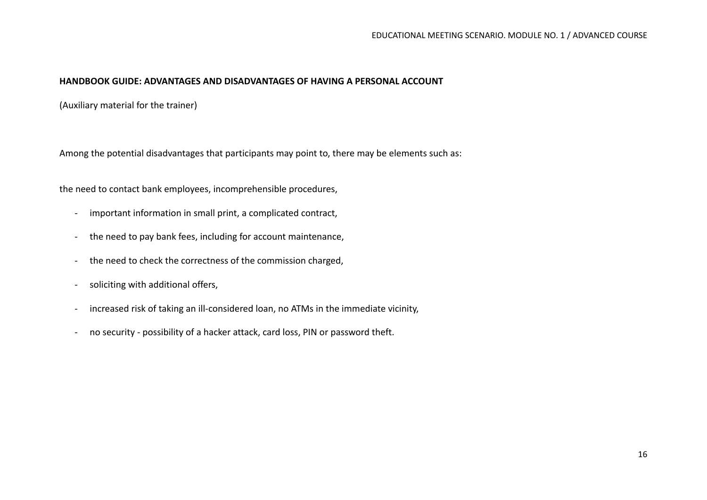#### **HANDBOOK GUIDE: ADVANTAGES AND DISADVANTAGES OF HAVING A PERSONAL ACCOUNT**

(Auxiliary material for the trainer)

Among the potential disadvantages that participants may point to, there may be elements such as:

the need to contact bank employees, incomprehensible procedures,

- important information in small print, a complicated contract,
- the need to pay bank fees, including for account maintenance,
- the need to check the correctness of the commission charged,
- soliciting with additional offers,
- increased risk of taking an ill-considered loan, no ATMs in the immediate vicinity,
- no security possibility of a hacker attack, card loss, PIN or password theft.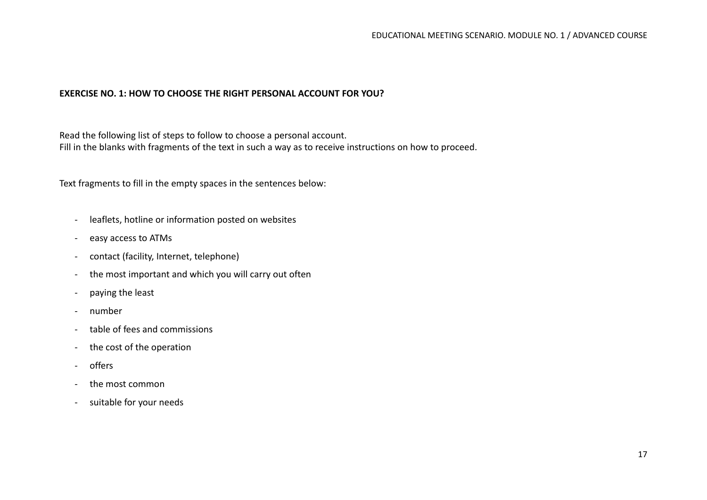## **EXERCISE NO. 1: HOW TO CHOOSE THE RIGHT PERSONAL ACCOUNT FOR YOU?**

Read the following list of steps to follow to choose a personal account. Fill in the blanks with fragments of the text in such a way as to receive instructions on how to proceed.

Text fragments to fill in the empty spaces in the sentences below:

- leaflets, hotline or information posted on websites
- easy access to ATMs
- contact (facility, Internet, telephone)
- the most important and which you will carry out often
- paying the least
- number
- table of fees and commissions
- the cost of the operation
- offers
- the most common
- suitable for your needs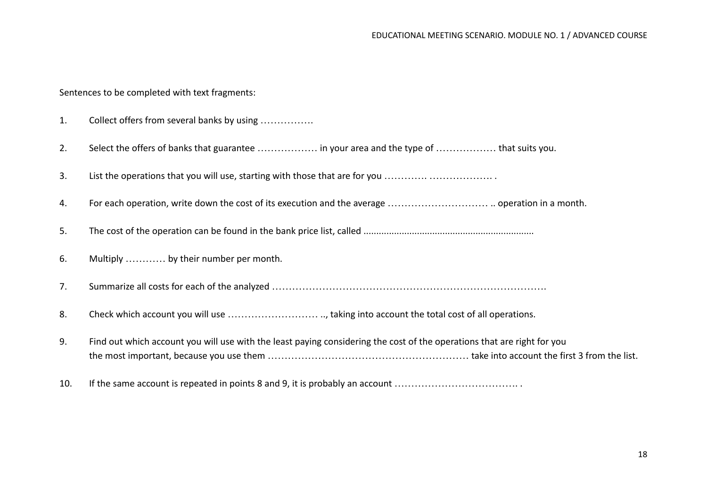Sentences to be completed with text fragments:

| 1.  | Collect offers from several banks by using                                                                              |
|-----|-------------------------------------------------------------------------------------------------------------------------|
| 2.  | Select the offers of banks that guarantee  in your area and the type of  that suits you.                                |
| 3.  | List the operations that you will use, starting with those that are for you                                             |
| 4.  |                                                                                                                         |
| 5.  |                                                                                                                         |
| 6.  | Multiply  by their number per month.                                                                                    |
| 7.  |                                                                                                                         |
| 8.  |                                                                                                                         |
| 9.  | Find out which account you will use with the least paying considering the cost of the operations that are right for you |
| 10. | If the same account is repeated in points 8 and 9, it is probably an account                                            |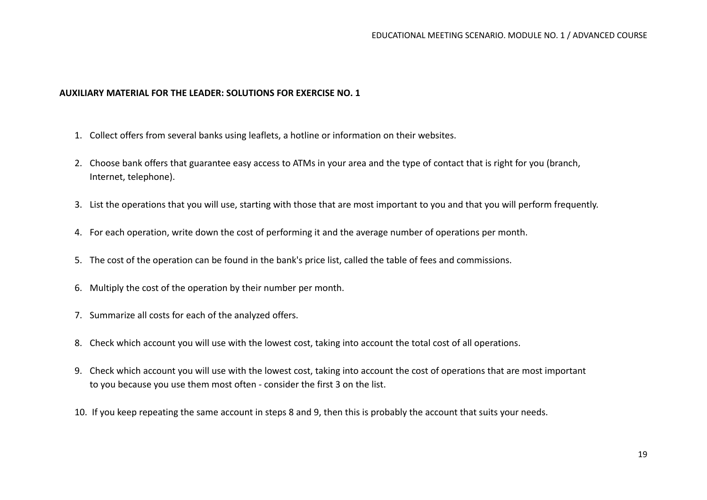#### **AUXILIARY MATERIAL FOR THE LEADER: SOLUTIONS FOR EXERCISE NO. 1**

- 1. Collect offers from several banks using leaflets, a hotline or information on their websites.
- 2. Choose bank offers that guarantee easy access to ATMs in your area and the type of contact that is right for you (branch, Internet, telephone).
- 3. List the operations that you will use, starting with those that are most important to you and that you will perform frequently.
- 4. For each operation, write down the cost of performing it and the average number of operations per month.
- 5. The cost of the operation can be found in the bank's price list, called the table of fees and commissions.
- 6. Multiply the cost of the operation by their number per month.
- 7. Summarize all costs for each of the analyzed offers.
- 8. Check which account you will use with the lowest cost, taking into account the total cost of all operations.
- 9. Check which account you will use with the lowest cost, taking into account the cost of operations that are most important to you because you use them most often - consider the first 3 on the list.
- 10. If you keep repeating the same account in steps 8 and 9, then this is probably the account that suits your needs.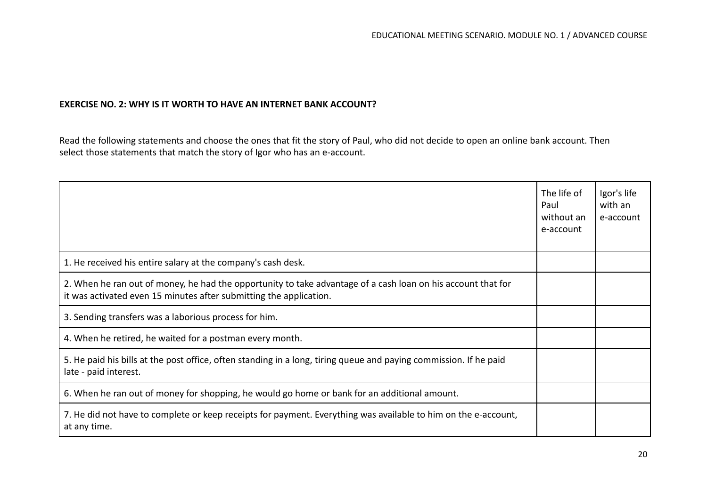#### **EXERCISE NO. 2: WHY IS IT WORTH TO HAVE AN INTERNET BANK ACCOUNT?**

Read the following statements and choose the ones that fit the story of Paul, who did not decide to open an online bank account. Then select those statements that match the story of Igor who has an e-account.

|                                                                                                                                                                                    | The life of<br>Paul<br>without an<br>e-account | Igor's life<br>with an<br>e-account |
|------------------------------------------------------------------------------------------------------------------------------------------------------------------------------------|------------------------------------------------|-------------------------------------|
| 1. He received his entire salary at the company's cash desk.                                                                                                                       |                                                |                                     |
| 2. When he ran out of money, he had the opportunity to take advantage of a cash loan on his account that for<br>it was activated even 15 minutes after submitting the application. |                                                |                                     |
| 3. Sending transfers was a laborious process for him.                                                                                                                              |                                                |                                     |
| 4. When he retired, he waited for a postman every month.                                                                                                                           |                                                |                                     |
| 5. He paid his bills at the post office, often standing in a long, tiring queue and paying commission. If he paid<br>late - paid interest.                                         |                                                |                                     |
| 6. When he ran out of money for shopping, he would go home or bank for an additional amount.                                                                                       |                                                |                                     |
| 7. He did not have to complete or keep receipts for payment. Everything was available to him on the e-account,<br>at any time.                                                     |                                                |                                     |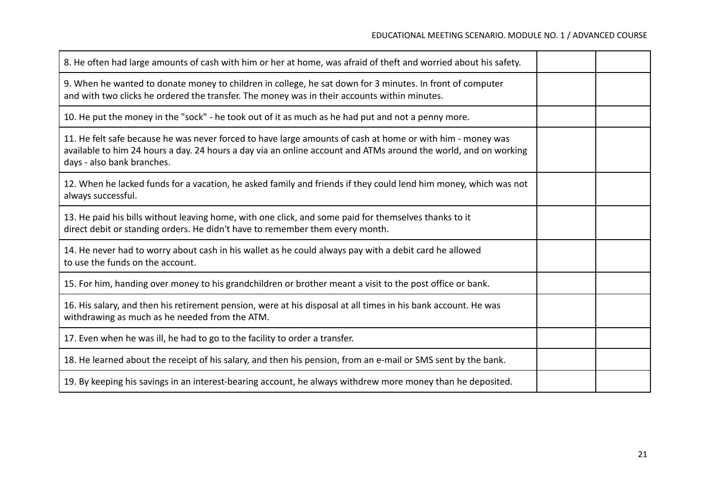| 8. He often had large amounts of cash with him or her at home, was afraid of theft and worried about his safety.                                                                                                                                            |  |
|-------------------------------------------------------------------------------------------------------------------------------------------------------------------------------------------------------------------------------------------------------------|--|
| 9. When he wanted to donate money to children in college, he sat down for 3 minutes. In front of computer<br>and with two clicks he ordered the transfer. The money was in their accounts within minutes.                                                   |  |
| 10. He put the money in the "sock" - he took out of it as much as he had put and not a penny more.                                                                                                                                                          |  |
| 11. He felt safe because he was never forced to have large amounts of cash at home or with him - money was<br>available to him 24 hours a day. 24 hours a day via an online account and ATMs around the world, and on working<br>days - also bank branches. |  |
| 12. When he lacked funds for a vacation, he asked family and friends if they could lend him money, which was not<br>always successful.                                                                                                                      |  |
| 13. He paid his bills without leaving home, with one click, and some paid for themselves thanks to it<br>direct debit or standing orders. He didn't have to remember them every month.                                                                      |  |
| 14. He never had to worry about cash in his wallet as he could always pay with a debit card he allowed<br>to use the funds on the account.                                                                                                                  |  |
| 15. For him, handing over money to his grandchildren or brother meant a visit to the post office or bank.                                                                                                                                                   |  |
| 16. His salary, and then his retirement pension, were at his disposal at all times in his bank account. He was<br>withdrawing as much as he needed from the ATM.                                                                                            |  |
| 17. Even when he was ill, he had to go to the facility to order a transfer.                                                                                                                                                                                 |  |
| 18. He learned about the receipt of his salary, and then his pension, from an e-mail or SMS sent by the bank.                                                                                                                                               |  |
| 19. By keeping his savings in an interest-bearing account, he always withdrew more money than he deposited.                                                                                                                                                 |  |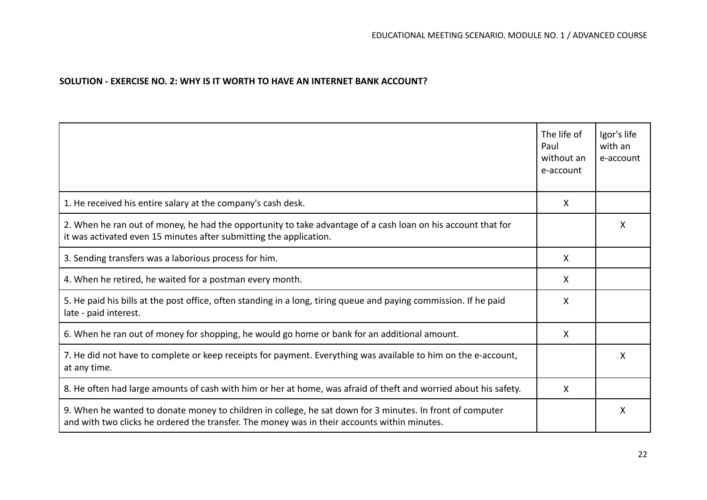## **SOLUTION - EXERCISE NO. 2: WHY IS IT WORTH TO HAVE AN INTERNET BANK ACCOUNT?**

|                                                                                                                                                                                                           | The life of<br>Paul<br>without an<br>e-account | Igor's life<br>with an<br>e-account |
|-----------------------------------------------------------------------------------------------------------------------------------------------------------------------------------------------------------|------------------------------------------------|-------------------------------------|
| 1. He received his entire salary at the company's cash desk.                                                                                                                                              | X                                              |                                     |
| 2. When he ran out of money, he had the opportunity to take advantage of a cash loan on his account that for<br>it was activated even 15 minutes after submitting the application.                        |                                                | X                                   |
| 3. Sending transfers was a laborious process for him.                                                                                                                                                     | X                                              |                                     |
| 4. When he retired, he waited for a postman every month.                                                                                                                                                  | X                                              |                                     |
| 5. He paid his bills at the post office, often standing in a long, tiring queue and paying commission. If he paid<br>late - paid interest.                                                                | X                                              |                                     |
| 6. When he ran out of money for shopping, he would go home or bank for an additional amount.                                                                                                              | X                                              |                                     |
| 7. He did not have to complete or keep receipts for payment. Everything was available to him on the e-account,<br>at any time.                                                                            |                                                | X                                   |
| 8. He often had large amounts of cash with him or her at home, was afraid of theft and worried about his safety.                                                                                          | X                                              |                                     |
| 9. When he wanted to donate money to children in college, he sat down for 3 minutes. In front of computer<br>and with two clicks he ordered the transfer. The money was in their accounts within minutes. |                                                | X                                   |